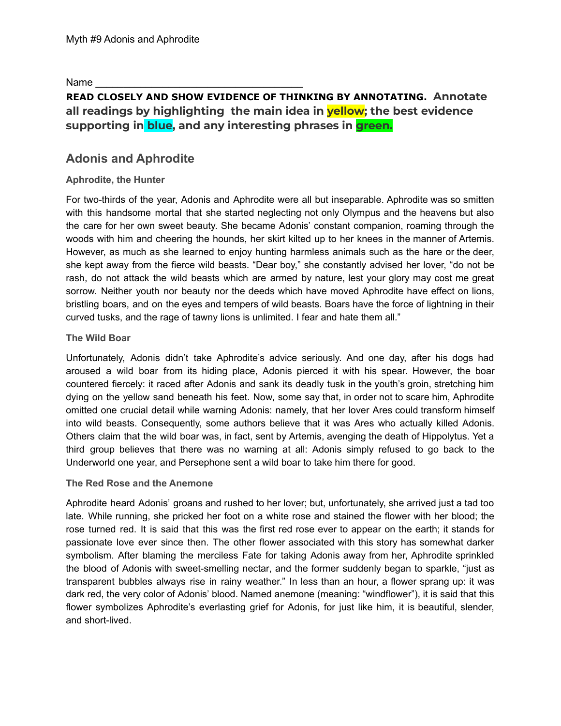Name

# **READ CLOSELY AND SHOW EVIDENCE OF THINKING BY ANNOTATING. Annotate all readings by highlighting the main idea in yellow; the best evidence supporting in blue, and any interesting phrases in green.**

## **Adonis and Aphrodite**

### **Aphrodite, the Hunter**

For two-thirds of the year, [Adonis](https://www.greekmythology.com/Other_Gods/Minor_Gods/Adonis/adonis.html) and [Aphrodite](https://www.greekmythology.com/Olympians/Aphrodite/aphrodite.html) were all but inseparable. [Aphrodite](https://www.greekmythology.com/Olympians/Aphrodite/aphrodite.html) was so smitten with this handsome mortal that she started neglecting not only Olympus and the heavens but also the care for her own sweet beauty. She became [Adonis'](https://www.greekmythology.com/Other_Gods/Minor_Gods/Adonis/adonis.html) constant companion, roaming through the woods with him and cheering the hounds, her skirt kilted up to her knees in the manner of [Artemis.](https://www.greekmythology.com/Olympians/Artemis/artemis.html) However, as much as she learned to enjoy hunting harmless animals such as the hare or the deer, she kept away from the fierce wild beasts. "Dear boy," she constantly advised her lover, "do not be rash, do not attack the wild beasts which are armed by nature, lest your glory may cost me great sorrow. Neither youth nor beauty nor the deeds which have moved [Aphrodite](https://www.greekmythology.com/Olympians/Aphrodite/aphrodite.html) have effect on lions, bristling boars, and on the eyes and tempers of wild beasts. Boars have the force of lightning in their curved tusks, and the rage of tawny lions is unlimited. I fear and hate them all."

### **The Wild Boar**

Unfortunately, [Adonis](https://www.greekmythology.com/Other_Gods/Minor_Gods/Adonis/adonis.html) didn't take [Aphrodite'](https://www.greekmythology.com/Olympians/Aphrodite/aphrodite.html)s advice seriously. And one day, after his dogs had aroused a wild boar from its hiding place, [Adonis](https://www.greekmythology.com/Other_Gods/Minor_Gods/Adonis/adonis.html) pierced it with his spear. However, the boar countered fiercely: it raced after [Adonis](https://www.greekmythology.com/Other_Gods/Minor_Gods/Adonis/adonis.html) and sank its deadly tusk in the youth's groin, stretching him dying on the yellow sand beneath his feet. Now, some say that, in order not to scare him, [Aphrodite](https://www.greekmythology.com/Olympians/Aphrodite/aphrodite.html) omitted one crucial detail while warning [Adonis](https://www.greekmythology.com/Other_Gods/Minor_Gods/Adonis/adonis.html): namely, that her lover [Ares](https://www.greekmythology.com/Olympians/Aris/aris.html) could transform himself into wild beasts. Consequently, some authors believe that it was [Ares](https://www.greekmythology.com/Olympians/Aris/aris.html) who actually killed [Adonis.](https://www.greekmythology.com/Other_Gods/Minor_Gods/Adonis/adonis.html) Others claim that the wild boar was, in fact, sent by [Artemis](https://www.greekmythology.com/Olympians/Artemis/artemis.html), avenging the death of [Hippolytus.](https://www.greekmythology.com/Myths/Mortals/Hippolytus/hippolytus.html) Yet a third group believes that there was no warning at all: [Adonis](https://www.greekmythology.com/Other_Gods/Minor_Gods/Adonis/adonis.html) simply refused to go back to the Underworld one year, and [Persephone](https://www.greekmythology.com/Other_Gods/Persephone/persephone.html) sent a wild boar to take him there for good.

#### **The Red Rose and the Anemone**

[Aphrodite](https://www.greekmythology.com/Olympians/Aphrodite/aphrodite.html) heard [Adonis](https://www.greekmythology.com/Other_Gods/Minor_Gods/Adonis/adonis.html)' groans and rushed to her lover; but, unfortunately, she arrived just a tad too late. While running, she pricked her foot on a white rose and stained the flower with her blood; the rose turned red. It is said that this was the first red rose ever to appear on the earth; it stands for passionate love ever since then. The other flower associated with this story has somewhat darker symbolism. After blaming the merciless Fate for taking [Adonis](https://www.greekmythology.com/Other_Gods/Minor_Gods/Adonis/adonis.html) away from her, [Aphrodite](https://www.greekmythology.com/Olympians/Aphrodite/aphrodite.html) sprinkled the blood of [Adonis](https://www.greekmythology.com/Other_Gods/Minor_Gods/Adonis/adonis.html) with sweet-smelling [nectar,](https://www.greekmythology.com/Myths/Elements/Nectar/nectar.html) and the former suddenly began to sparkle, "just as transparent bubbles always rise in rainy weather." In less than an hour, a flower sprang up: it was dark red, the very color of [Adonis](https://www.greekmythology.com/Other_Gods/Minor_Gods/Adonis/adonis.html)' blood. Named anemone (meaning: "windflower"), it is said that this flower symbolizes [Aphrodite'](https://www.greekmythology.com/Olympians/Aphrodite/aphrodite.html)s everlasting grief for [Adonis](https://www.greekmythology.com/Other_Gods/Minor_Gods/Adonis/adonis.html), for just like him, it is beautiful, slender, and short-lived.